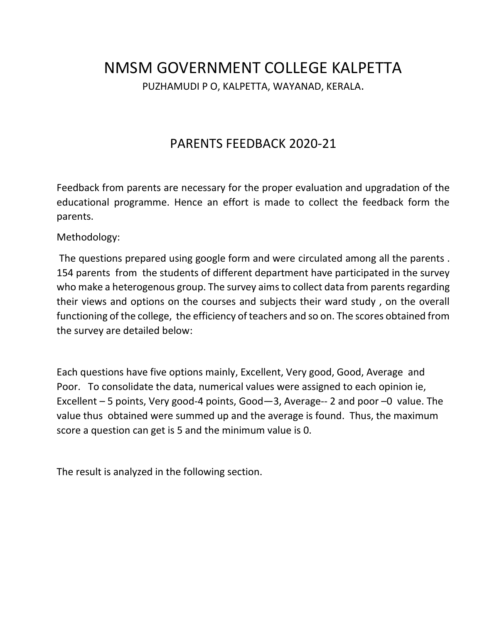# NMSM GOVERNMENT COLLEGE KALPETTA PUZHAMUDI P O, KALPETTA, WAYANAD, KERALA.

## PARENTS FEEDBACK 2020-21

Feedback from parents are necessary for the proper evaluation and upgradation of the educational programme. Hence an effort is made to collect the feedback form the parents.

Methodology:

The questions prepared using google form and were circulated among all the parents . 154 parents from the students of different department have participated in the survey who make a heterogenous group. The survey aims to collect data from parents regarding their views and options on the courses and subjects their ward study , on the overall functioning of the college, the efficiency of teachers and so on. The scores obtained from the survey are detailed below:

Each questions have five options mainly, Excellent, Very good, Good, Average and Poor. To consolidate the data, numerical values were assigned to each opinion ie, Excellent – 5 points, Very good-4 points, Good—3, Average-- 2 and poor –0 value. The value thus obtained were summed up and the average is found. Thus, the maximum score a question can get is 5 and the minimum value is 0.

The result is analyzed in the following section.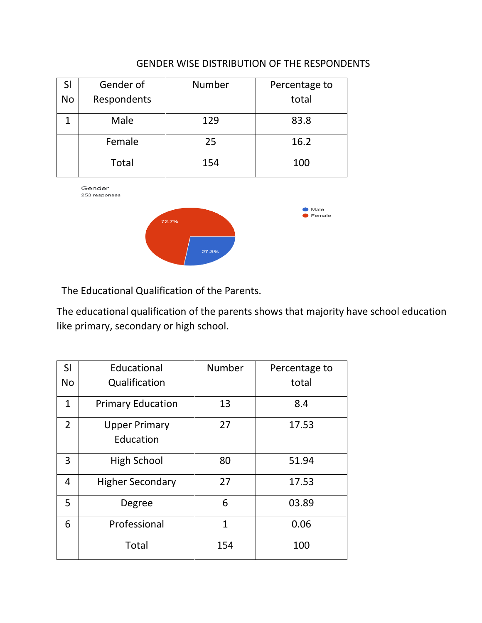### GENDER WISE DISTRIBUTION OF THE RESPONDENTS

| SI<br><b>No</b> | Gender of<br>Respondents | <b>Number</b> | Percentage to<br>total |
|-----------------|--------------------------|---------------|------------------------|
|                 | Male                     | 129           | 83.8                   |
|                 | Female                   | 25            | 16.2                   |
|                 | <b>Total</b>             | 154           | 100                    |

Gender 253 responses



The Educational Qualification of the Parents.

The educational qualification of the parents shows that majority have school education like primary, secondary or high school.

| SI             | Educational                       | <b>Number</b>  | Percentage to |
|----------------|-----------------------------------|----------------|---------------|
| <b>No</b>      | Qualification                     |                | total         |
| $\mathbf{1}$   | <b>Primary Education</b>          | 13             | 8.4           |
| $\overline{2}$ | <b>Upper Primary</b><br>Education | 27             | 17.53         |
| 3              | <b>High School</b>                | 80             | 51.94         |
| 4              | <b>Higher Secondary</b>           | 27             | 17.53         |
| 5              | Degree                            | 6              | 03.89         |
| 6              | Professional                      | $\overline{1}$ | 0.06          |
|                | <b>Total</b>                      | 154            | 100           |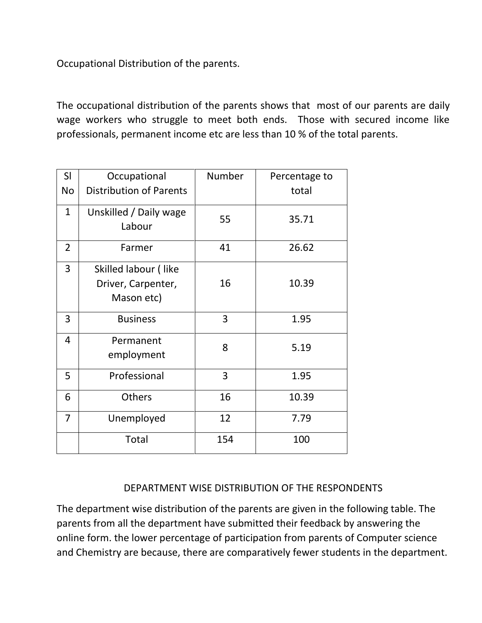Occupational Distribution of the parents.

The occupational distribution of the parents shows that most of our parents are daily wage workers who struggle to meet both ends. Those with secured income like professionals, permanent income etc are less than 10 % of the total parents.

| SI             | Occupational                                             | Number | Percentage to |
|----------------|----------------------------------------------------------|--------|---------------|
| <b>No</b>      | <b>Distribution of Parents</b>                           |        | total         |
| $\mathbf{1}$   | Unskilled / Daily wage<br>Labour                         | 55     | 35.71         |
| $\overline{2}$ | Farmer                                                   | 41     | 26.62         |
| 3              | Skilled labour (like<br>Driver, Carpenter,<br>Mason etc) | 16     | 10.39         |
| 3              | <b>Business</b>                                          | 3      | 1.95          |
| $\overline{4}$ | Permanent<br>employment                                  | 8      | 5.19          |
| 5              | Professional                                             | 3      | 1.95          |
| 6              | <b>Others</b>                                            | 16     | 10.39         |
| 7              | Unemployed                                               | 12     | 7.79          |
|                | <b>Total</b>                                             | 154    | 100           |

### DEPARTMENT WISE DISTRIBUTION OF THE RESPONDENTS

The department wise distribution of the parents are given in the following table. The parents from all the department have submitted their feedback by answering the online form. the lower percentage of participation from parents of Computer science and Chemistry are because, there are comparatively fewer students in the department.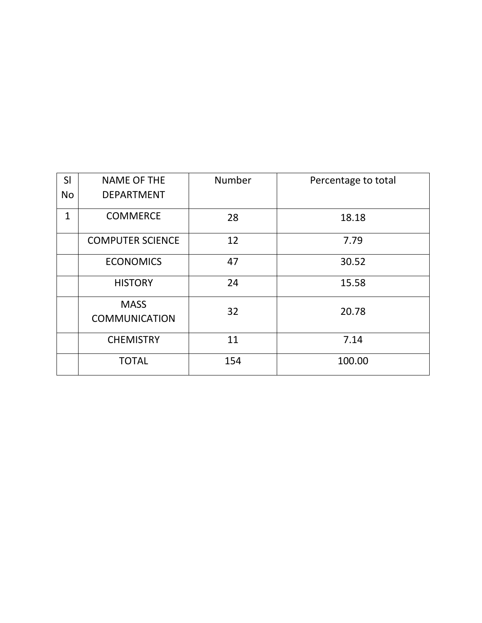| SI           | <b>NAME OF THE</b>                  | Number | Percentage to total |
|--------------|-------------------------------------|--------|---------------------|
| <b>No</b>    | <b>DEPARTMENT</b>                   |        |                     |
| $\mathbf{1}$ | <b>COMMERCE</b>                     | 28     | 18.18               |
|              | <b>COMPUTER SCIENCE</b>             | 12     | 7.79                |
|              | <b>ECONOMICS</b>                    | 47     | 30.52               |
|              | <b>HISTORY</b>                      | 24     | 15.58               |
|              | <b>MASS</b><br><b>COMMUNICATION</b> | 32     | 20.78               |
|              | <b>CHEMISTRY</b>                    | 11     | 7.14                |
|              | <b>TOTAL</b>                        | 154    | 100.00              |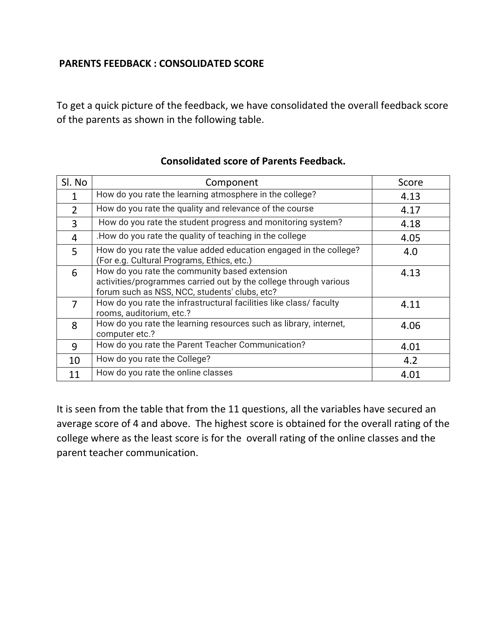## **PARENTS FEEDBACK : CONSOLIDATED SCORE**

To get a quick picture of the feedback, we have consolidated the overall feedback score of the parents as shown in the following table.

| Sl. No         | Component                                                                                                                                                          | Score |
|----------------|--------------------------------------------------------------------------------------------------------------------------------------------------------------------|-------|
| 1              | How do you rate the learning atmosphere in the college?                                                                                                            | 4.13  |
| $\overline{2}$ | How do you rate the quality and relevance of the course                                                                                                            | 4.17  |
| 3              | How do you rate the student progress and monitoring system?                                                                                                        | 4.18  |
| 4              | .How do you rate the quality of teaching in the college                                                                                                            | 4.05  |
| 5              | How do you rate the value added education engaged in the college?<br>(For e.g. Cultural Programs, Ethics, etc.)                                                    | 4.0   |
| 6              | How do you rate the community based extension<br>activities/programmes carried out by the college through various<br>forum such as NSS, NCC, students' clubs, etc? | 4.13  |
| $\overline{7}$ | How do you rate the infrastructural facilities like class/ faculty<br>rooms, auditorium, etc.?                                                                     | 4.11  |
| 8              | How do you rate the learning resources such as library, internet,<br>computer etc.?                                                                                | 4.06  |
| 9              | How do you rate the Parent Teacher Communication?                                                                                                                  | 4.01  |
| 10             | How do you rate the College?                                                                                                                                       | 4.2   |
| 11             | How do you rate the online classes                                                                                                                                 | 4.01  |

#### **Consolidated score of Parents Feedback.**

It is seen from the table that from the 11 questions, all the variables have secured an average score of 4 and above. The highest score is obtained for the overall rating of the college where as the least score is for the overall rating of the online classes and the parent teacher communication.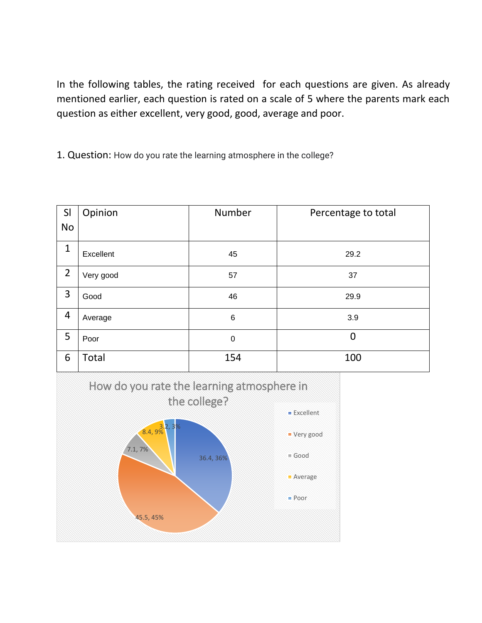In the following tables, the rating received for each questions are given. As already mentioned earlier, each question is rated on a scale of 5 where the parents mark each question as either excellent, very good, good, average and poor.

1. Question: How do you rate the learning atmosphere in the college?

| SI             | Opinion   | Number      | Percentage to total |
|----------------|-----------|-------------|---------------------|
| <b>No</b>      |           |             |                     |
| $\mathbf{1}$   | Excellent | 45          | 29.2                |
| $\overline{2}$ | Very good | 57          | 37                  |
| 3              | Good      | 46          | 29.9                |
| 4              | Average   | $\,6$       | 3.9                 |
| 5              | Poor      | $\mathbf 0$ | $\overline{0}$      |
| 6              | Total     | 154         | 100                 |

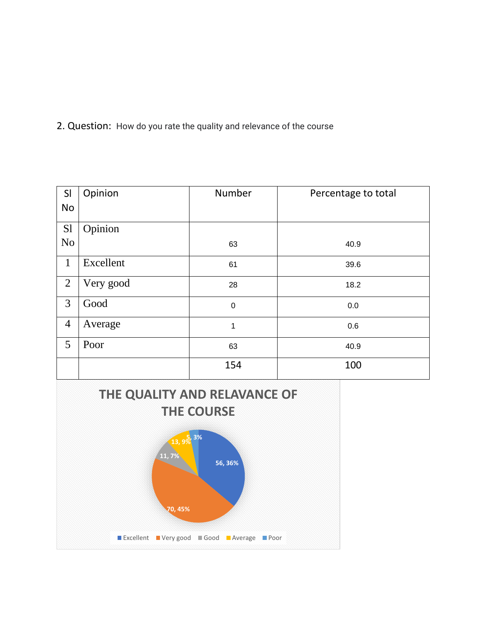2. Question: How do you rate the quality and relevance of the course

| SI             | Opinion   | Number      | Percentage to total |
|----------------|-----------|-------------|---------------------|
| <b>No</b>      |           |             |                     |
| S1             | Opinion   |             |                     |
| N <sub>0</sub> |           | 63          | 40.9                |
| $\mathbf{1}$   | Excellent | 61          | 39.6                |
| $\overline{2}$ | Very good | 28          | 18.2                |
| 3              | Good      | $\mathbf 0$ | 0.0                 |
| $\overline{4}$ | Average   | 1           | 0.6                 |
| 5              | Poor      | 63          | 40.9                |
|                |           | 154         | 100                 |

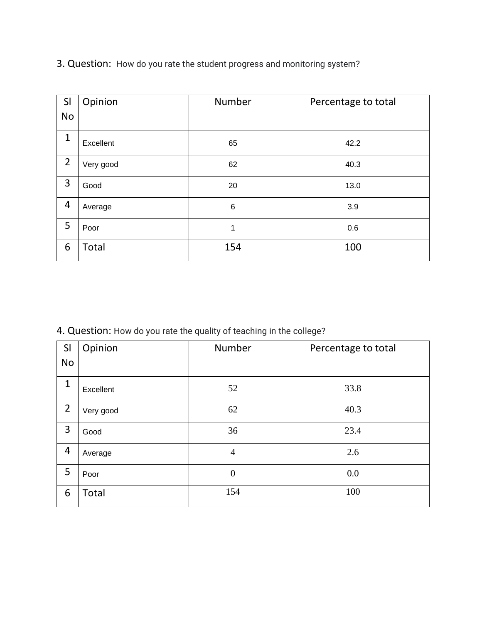| SI             | Opinion      | Number  | Percentage to total |
|----------------|--------------|---------|---------------------|
| <b>No</b>      |              |         |                     |
| $\mathbf{1}$   | Excellent    | 65      | 42.2                |
| $\overline{2}$ | Very good    | 62      | 40.3                |
| 3              | Good         | 20      | 13.0                |
| 4              | Average      | $\,6\,$ | 3.9                 |
| 5              | Poor         | 1       | 0.6                 |
| 6              | <b>Total</b> | 154     | 100                 |

3. Question: How do you rate the student progress and monitoring system?

4. Question: How do you rate the quality of teaching in the college?

| SI             | Opinion   | Number         | Percentage to total |
|----------------|-----------|----------------|---------------------|
| No             |           |                |                     |
| $\mathbf{1}$   | Excellent | 52             | 33.8                |
| $\overline{2}$ | Very good | 62             | 40.3                |
| 3              | Good      | 36             | 23.4                |
| 4              | Average   | $\overline{4}$ | 2.6                 |
| 5              | Poor      | $\overline{0}$ | 0.0                 |
| 6              | Total     | 154            | 100                 |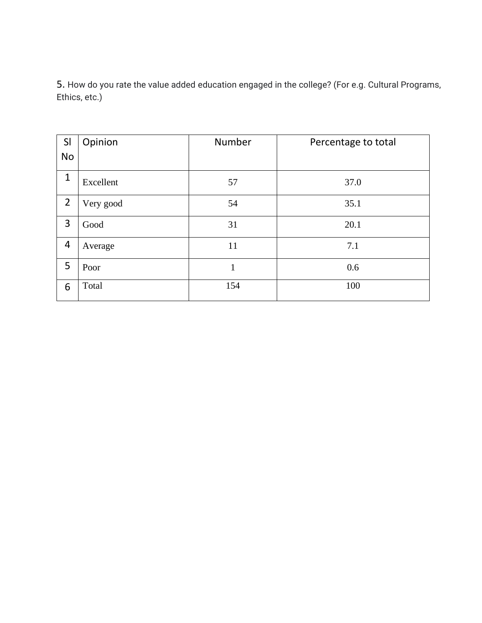5. How do you rate the value added education engaged in the college? (For e.g. Cultural Programs, Ethics, etc.)

| SI             | Opinion   | Number | Percentage to total |
|----------------|-----------|--------|---------------------|
| No             |           |        |                     |
| $\mathbf{1}$   | Excellent | 57     | 37.0                |
| $\overline{2}$ | Very good | 54     | 35.1                |
| 3              | Good      | 31     | 20.1                |
| 4              | Average   | 11     | 7.1                 |
| 5              | Poor      | 1      | 0.6                 |
| 6              | Total     | 154    | 100                 |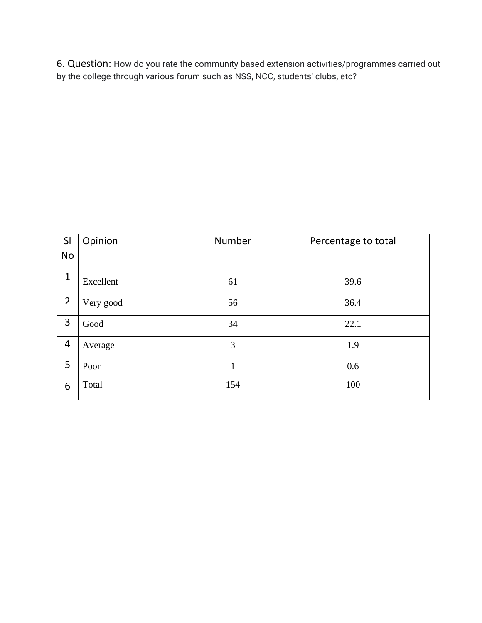6. Question: How do you rate the community based extension activities/programmes carried out by the college through various forum such as NSS, NCC, students' clubs, etc?

| SI<br><b>No</b> | Opinion   | Number | Percentage to total |
|-----------------|-----------|--------|---------------------|
| $\mathbf{1}$    | Excellent | 61     | 39.6                |
| $\overline{2}$  | Very good | 56     | 36.4                |
| 3               | Good      | 34     | 22.1                |
| 4               | Average   | 3      | 1.9                 |
| 5               | Poor      | 1      | 0.6                 |
| 6               | Total     | 154    | 100                 |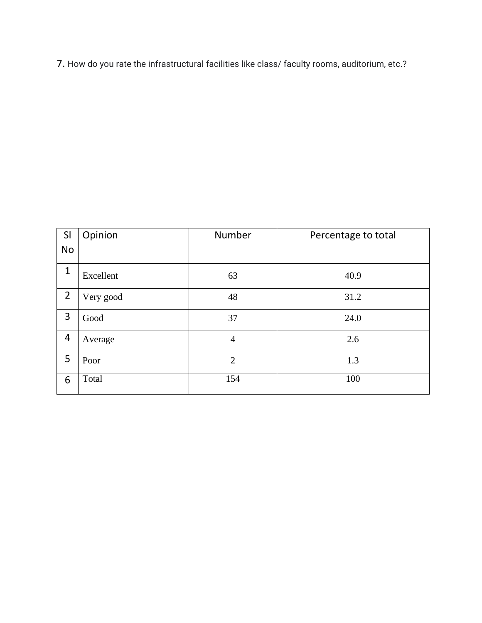7. How do you rate the infrastructural facilities like class/ faculty rooms, auditorium, etc.?

| SI             | Opinion   | Number         | Percentage to total |
|----------------|-----------|----------------|---------------------|
| <b>No</b>      |           |                |                     |
| $\mathbf{1}$   | Excellent | 63             | 40.9                |
| $\overline{2}$ | Very good | 48             | 31.2                |
| 3              | Good      | 37             | 24.0                |
| 4              | Average   | 4              | 2.6                 |
| 5              | Poor      | $\overline{2}$ | 1.3                 |
| 6              | Total     | 154            | 100                 |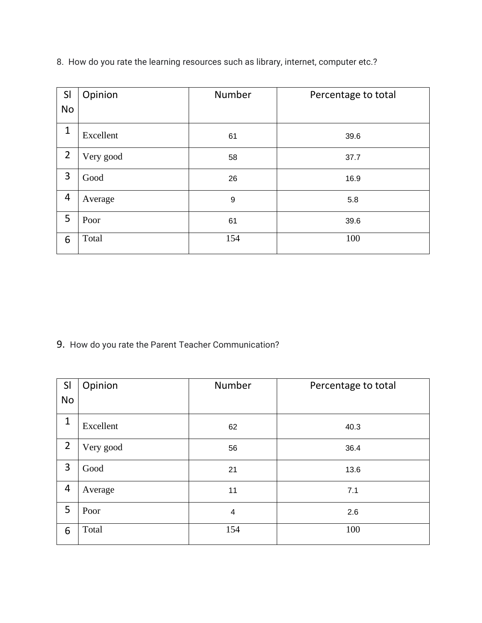| SI             | Opinion   | Number | Percentage to total |
|----------------|-----------|--------|---------------------|
| <b>No</b>      |           |        |                     |
| $\mathbf{1}$   | Excellent | 61     | 39.6                |
| $\overline{2}$ | Very good | 58     | 37.7                |
| 3              | Good      | 26     | 16.9                |
| 4              | Average   | 9      | 5.8                 |
| 5              | Poor      | 61     | 39.6                |
| 6              | Total     | 154    | 100                 |

8. How do you rate the learning resources such as library, internet, computer etc.?

9. How do you rate the Parent Teacher Communication?

| SI             | Opinion   | Number | Percentage to total |
|----------------|-----------|--------|---------------------|
| <b>No</b>      |           |        |                     |
| 1              | Excellent | 62     | 40.3                |
| $\overline{2}$ | Very good | 56     | 36.4                |
| 3              | Good      | 21     | 13.6                |
| 4              | Average   | 11     | 7.1                 |
| 5              | Poor      | 4      | 2.6                 |
| 6              | Total     | 154    | 100                 |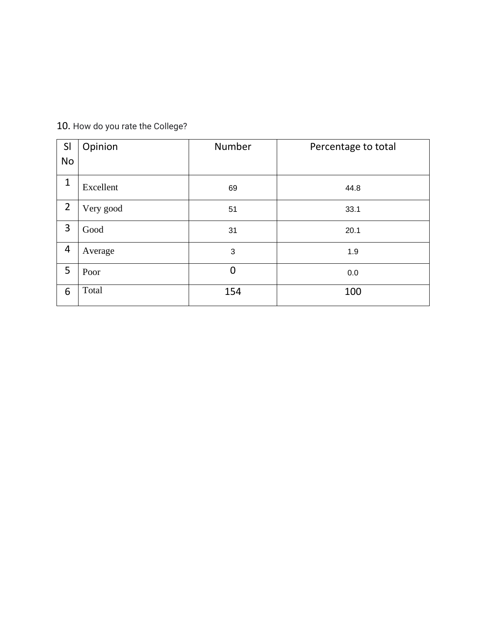## 10. How do you rate the College?

| SI             | Opinion   | Number         | Percentage to total |
|----------------|-----------|----------------|---------------------|
| <b>No</b>      |           |                |                     |
| $\mathbf{1}$   | Excellent | 69             | 44.8                |
| $\overline{2}$ | Very good | 51             | 33.1                |
| 3              | Good      | 31             | 20.1                |
| 4              | Average   | 3              | 1.9                 |
| 5              | Poor      | $\overline{0}$ | 0.0                 |
| 6              | Total     | 154            | 100                 |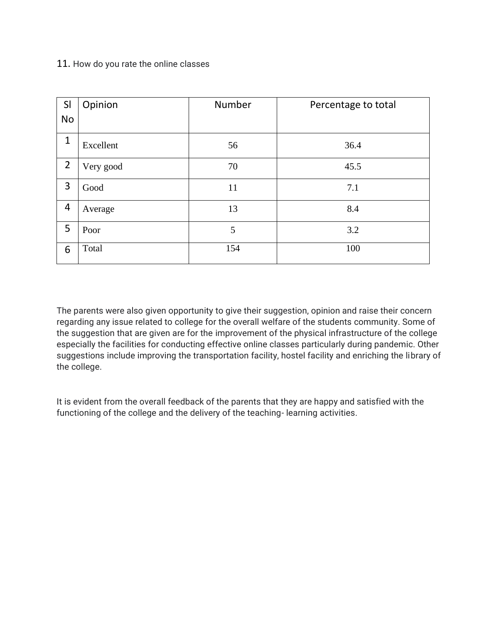#### 11. How do you rate the online classes

| SI             | Opinion   | Number | Percentage to total |
|----------------|-----------|--------|---------------------|
| No             |           |        |                     |
| $\mathbf{1}$   | Excellent | 56     | 36.4                |
| $\overline{2}$ | Very good | 70     | 45.5                |
| 3              | Good      | 11     | 7.1                 |
| 4              | Average   | 13     | 8.4                 |
| 5              | Poor      | 5      | 3.2                 |
| 6              | Total     | 154    | 100                 |

The parents were also given opportunity to give their suggestion, opinion and raise their concern regarding any issue related to college for the overall welfare of the students community. Some of the suggestion that are given are for the improvement of the physical infrastructure of the college especially the facilities for conducting effective online classes particularly during pandemic. Other suggestions include improving the transportation facility, hostel facility and enriching the library of the college.

It is evident from the overall feedback of the parents that they are happy and satisfied with the functioning of the college and the delivery of the teaching- learning activities.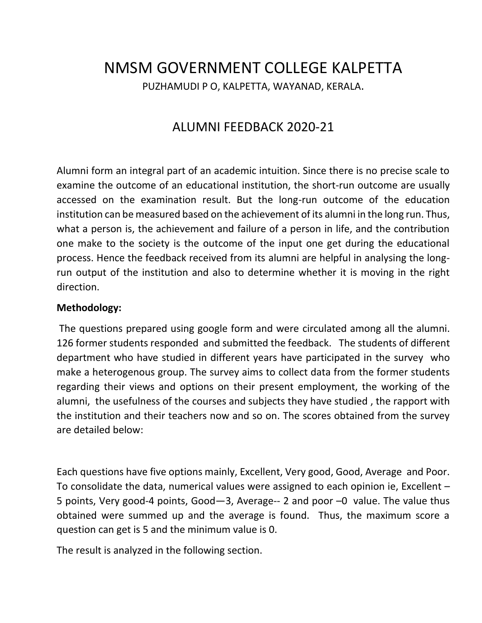# NMSM GOVERNMENT COLLEGE KALPETTA PUZHAMUDI P O, KALPETTA, WAYANAD, KERALA.

## ALUMNI FEEDBACK 2020-21

Alumni form an integral part of an academic intuition. Since there is no precise scale to examine the outcome of an educational institution, the short-run outcome are usually accessed on the examination result. But the long-run outcome of the education institution can be measured based on the achievement of its alumni in the long run. Thus, what a person is, the achievement and failure of a person in life, and the contribution one make to the society is the outcome of the input one get during the educational process. Hence the feedback received from its alumni are helpful in analysing the longrun output of the institution and also to determine whether it is moving in the right direction.

#### **Methodology:**

The questions prepared using google form and were circulated among all the alumni. 126 former students responded and submitted the feedback. The students of different department who have studied in different years have participated in the survey who make a heterogenous group. The survey aims to collect data from the former students regarding their views and options on their present employment, the working of the alumni, the usefulness of the courses and subjects they have studied , the rapport with the institution and their teachers now and so on. The scores obtained from the survey are detailed below:

Each questions have five options mainly, Excellent, Very good, Good, Average and Poor. To consolidate the data, numerical values were assigned to each opinion ie, Excellent – 5 points, Very good-4 points, Good—3, Average-- 2 and poor –0 value. The value thus obtained were summed up and the average is found. Thus, the maximum score a question can get is 5 and the minimum value is 0.

The result is analyzed in the following section.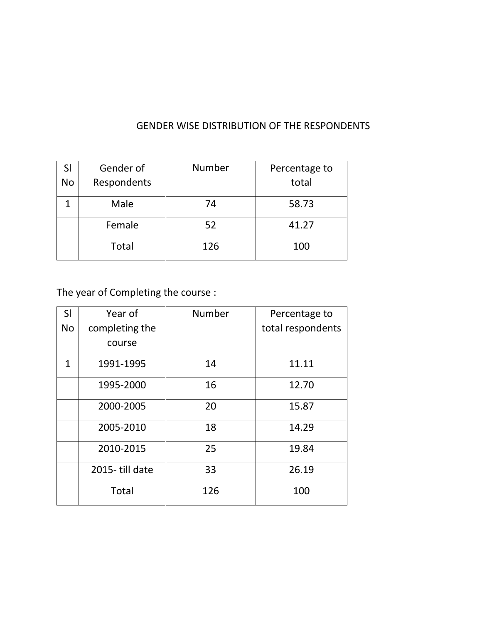| SI<br><b>No</b> | Gender of<br>Respondents | Number | Percentage to<br>total |
|-----------------|--------------------------|--------|------------------------|
|                 | Male                     | 74     | 58.73                  |
|                 | Female                   | 52     | 41.27                  |
|                 | <b>Total</b>             | 126    | 100                    |

## GENDER WISE DISTRIBUTION OF THE RESPONDENTS

The year of Completing the course :

| SI           | Year of        | Number | Percentage to     |
|--------------|----------------|--------|-------------------|
| <b>No</b>    | completing the |        | total respondents |
|              | course         |        |                   |
| $\mathbf{1}$ | 1991-1995      | 14     | 11.11             |
|              | 1995-2000      | 16     | 12.70             |
|              | 2000-2005      | 20     | 15.87             |
|              | 2005-2010      | 18     | 14.29             |
|              | 2010-2015      | 25     | 19.84             |
|              | 2015-till date | 33     | 26.19             |
|              | <b>Total</b>   | 126    | 100               |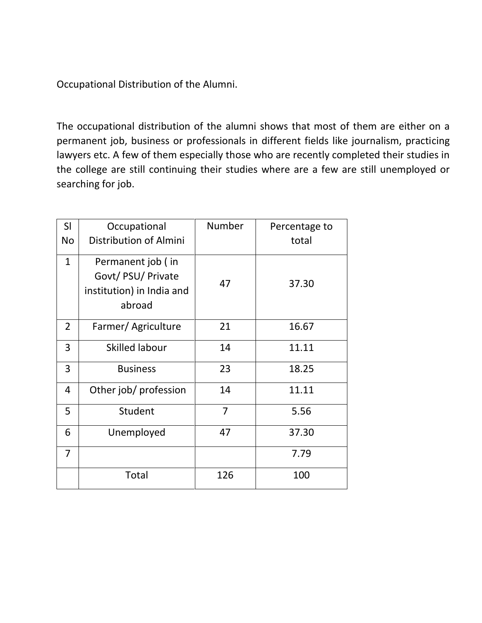Occupational Distribution of the Alumni.

The occupational distribution of the alumni shows that most of them are either on a permanent job, business or professionals in different fields like journalism, practicing lawyers etc. A few of them especially those who are recently completed their studies in the college are still continuing their studies where are a few are still unemployed or searching for job.

| SI             | Occupational                                                                   | Number         | Percentage to |
|----------------|--------------------------------------------------------------------------------|----------------|---------------|
| <b>No</b>      | Distribution of Almini                                                         |                | total         |
| $\mathbf{1}$   | Permanent job (in<br>Govt/ PSU/ Private<br>institution) in India and<br>abroad | 47             | 37.30         |
| $\overline{2}$ | Farmer/ Agriculture                                                            | 21             | 16.67         |
| 3              | Skilled labour                                                                 | 14             | 11.11         |
| 3              | <b>Business</b>                                                                | 23             | 18.25         |
| 4              | Other job/ profession                                                          | 14             | 11.11         |
| 5              | Student                                                                        | $\overline{7}$ | 5.56          |
| 6              | Unemployed                                                                     | 47             | 37.30         |
| $\overline{7}$ |                                                                                |                | 7.79          |
|                | Total                                                                          | 126            | 100           |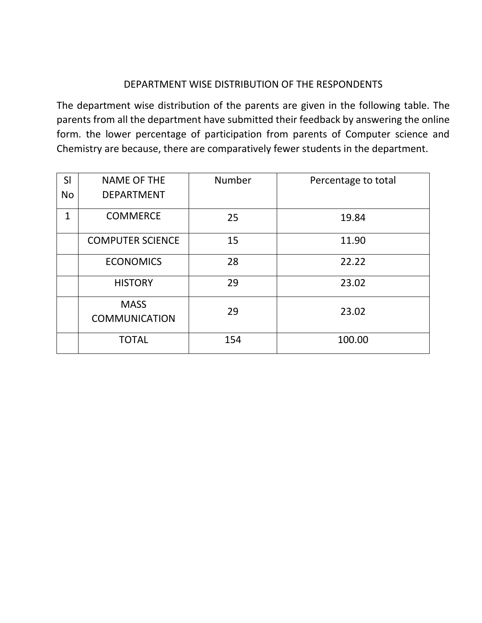#### DEPARTMENT WISE DISTRIBUTION OF THE RESPONDENTS

The department wise distribution of the parents are given in the following table. The parents from all the department have submitted their feedback by answering the online form. the lower percentage of participation from parents of Computer science and Chemistry are because, there are comparatively fewer students in the department.

| SI        | <b>NAME OF THE</b>                  | <b>Number</b> | Percentage to total |
|-----------|-------------------------------------|---------------|---------------------|
| <b>No</b> | <b>DEPARTMENT</b>                   |               |                     |
| 1         | <b>COMMERCE</b>                     | 25            | 19.84               |
|           | <b>COMPUTER SCIENCE</b>             | 15            | 11.90               |
|           | <b>ECONOMICS</b>                    | 28            | 22.22               |
|           | <b>HISTORY</b>                      | 29            | 23.02               |
|           | <b>MASS</b><br><b>COMMUNICATION</b> | 29            | 23.02               |
|           | <b>TOTAL</b>                        | 154           | 100.00              |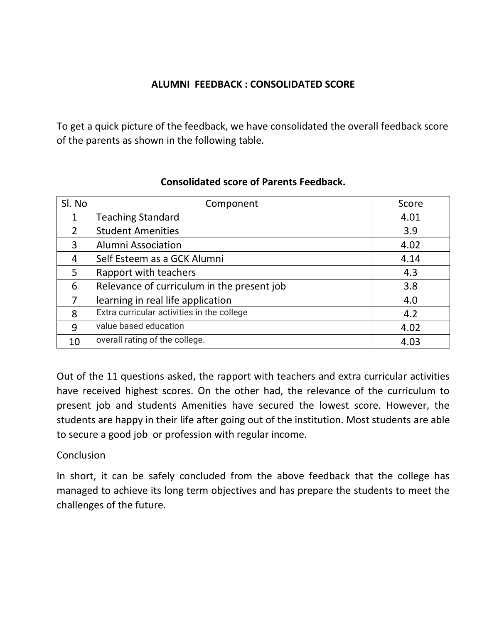## **ALUMNI FEEDBACK : CONSOLIDATED SCORE**

To get a quick picture of the feedback, we have consolidated the overall feedback score of the parents as shown in the following table.

| Sl. No | Component                                  | Score |
|--------|--------------------------------------------|-------|
| 1      | <b>Teaching Standard</b>                   | 4.01  |
| 2      | <b>Student Amenities</b>                   | 3.9   |
| 3      | Alumni Association                         | 4.02  |
| 4      | Self Esteem as a GCK Alumni                | 4.14  |
| 5      | Rapport with teachers                      | 4.3   |
| 6      | Relevance of curriculum in the present job | 3.8   |
| 7      | learning in real life application          | 4.0   |
| 8      | Extra curricular activities in the college | 4.2   |
| 9      | value based education                      | 4.02  |
| 10     | overall rating of the college.             | 4.03  |

## **Consolidated score of Parents Feedback.**

Out of the 11 questions asked, the rapport with teachers and extra curricular activities have received highest scores. On the other had, the relevance of the curriculum to present job and students Amenities have secured the lowest score. However, the students are happy in their life after going out of the institution. Most students are able to secure a good job or profession with regular income.

## **Conclusion**

In short, it can be safely concluded from the above feedback that the college has managed to achieve its long term objectives and has prepare the students to meet the challenges of the future.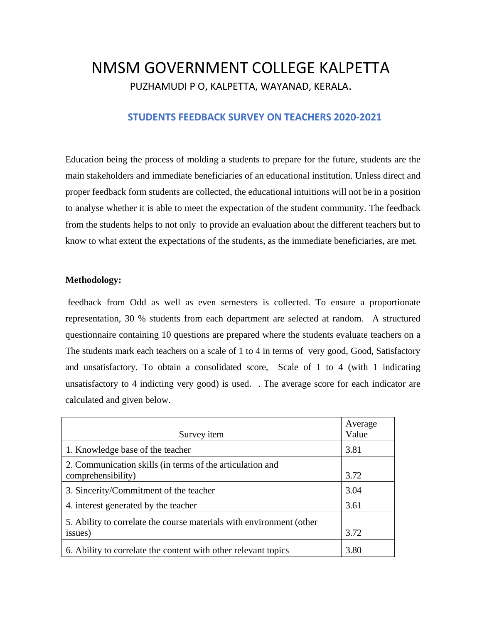# NMSM GOVERNMENT COLLEGE KALPETTA PUZHAMUDI P O, KALPETTA, WAYANAD, KERALA.

#### **STUDENTS FEEDBACK SURVEY ON TEACHERS 2020-2021**

Education being the process of molding a students to prepare for the future, students are the main stakeholders and immediate beneficiaries of an educational institution. Unless direct and proper feedback form students are collected, the educational intuitions will not be in a position to analyse whether it is able to meet the expectation of the student community. The feedback from the students helps to not only to provide an evaluation about the different teachers but to know to what extent the expectations of the students, as the immediate beneficiaries, are met.

#### **Methodology:**

feedback from Odd as well as even semesters is collected. To ensure a proportionate representation, 30 % students from each department are selected at random. A structured questionnaire containing 10 questions are prepared where the students evaluate teachers on a The students mark each teachers on a scale of 1 to 4 in terms of very good, Good, Satisfactory and unsatisfactory. To obtain a consolidated score, Scale of 1 to 4 (with 1 indicating unsatisfactory to 4 indicting very good) is used. . The average score for each indicator are calculated and given below.

| Survey <i>item</i>                                                              | Average<br>Value |
|---------------------------------------------------------------------------------|------------------|
| 1. Knowledge base of the teacher                                                | 3.81             |
| 2. Communication skills (in terms of the articulation and<br>comprehensibility) | 3.72             |
| 3. Sincerity/Commitment of the teacher                                          | 3.04             |
| 4. interest generated by the teacher                                            | 3.61             |
| 5. Ability to correlate the course materials with environment (other<br>issues) | 3.72             |
| 6. Ability to correlate the content with other relevant topics                  | 3.80             |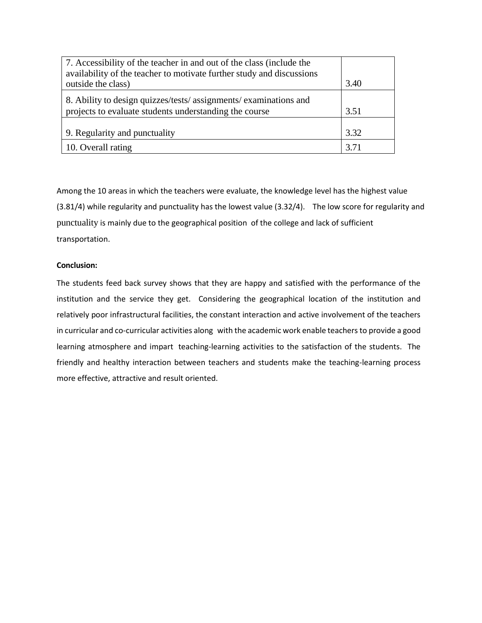| 7. Accessibility of the teacher in and out of the class (include the                        |      |
|---------------------------------------------------------------------------------------------|------|
| availability of the teacher to motivate further study and discussions<br>outside the class) | 3.40 |
| 8. Ability to design quizzes/tests/ assignments/ examinations and                           |      |
| projects to evaluate students understanding the course                                      | 3.51 |
|                                                                                             |      |
| 9. Regularity and punctuality                                                               | 3.32 |
| 10. Overall rating                                                                          | 3.71 |

Among the 10 areas in which the teachers were evaluate, the knowledge level has the highest value (3.81/4) while regularity and punctuality has the lowest value (3.32/4). The low score for regularity and punctuality is mainly due to the geographical position of the college and lack of sufficient transportation.

#### **Conclusion:**

The students feed back survey shows that they are happy and satisfied with the performance of the institution and the service they get. Considering the geographical location of the institution and relatively poor infrastructural facilities, the constant interaction and active involvement of the teachers in curricular and co-curricular activities along with the academic work enable teachers to provide a good learning atmosphere and impart teaching-learning activities to the satisfaction of the students. The friendly and healthy interaction between teachers and students make the teaching-learning process more effective, attractive and result oriented.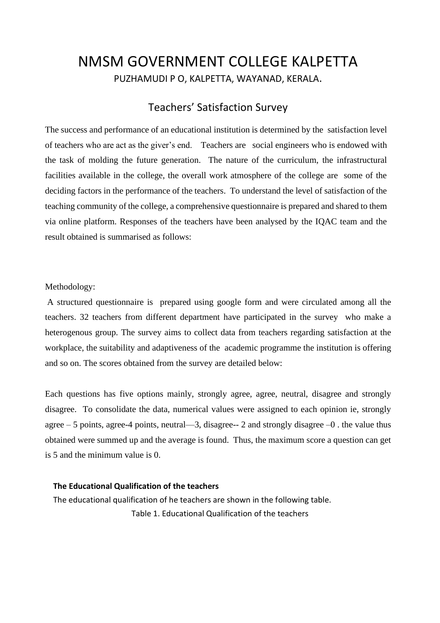# NMSM GOVERNMENT COLLEGE KALPETTA PUZHAMUDI P O, KALPETTA, WAYANAD, KERALA.

## Teachers' Satisfaction Survey

The success and performance of an educational institution is determined by the satisfaction level of teachers who are act as the giver's end. Teachers are social engineers who is endowed with the task of molding the future generation. The nature of the curriculum, the infrastructural facilities available in the college, the overall work atmosphere of the college are some of the deciding factors in the performance of the teachers. To understand the level of satisfaction of the teaching community of the college, a comprehensive questionnaire is prepared and shared to them via online platform. Responses of the teachers have been analysed by the IQAC team and the result obtained is summarised as follows:

Methodology:

A structured questionnaire is prepared using google form and were circulated among all the teachers. 32 teachers from different department have participated in the survey who make a heterogenous group. The survey aims to collect data from teachers regarding satisfaction at the workplace, the suitability and adaptiveness of the academic programme the institution is offering and so on. The scores obtained from the survey are detailed below:

Each questions has five options mainly, strongly agree, agree, neutral, disagree and strongly disagree. To consolidate the data, numerical values were assigned to each opinion ie, strongly agree  $-5$  points, agree-4 points, neutral—3, disagree-- 2 and strongly disagree  $-0$  . the value thus obtained were summed up and the average is found. Thus, the maximum score a question can get is 5 and the minimum value is 0.

#### **The Educational Qualification of the teachers**

The educational qualification of he teachers are shown in the following table. Table 1. Educational Qualification of the teachers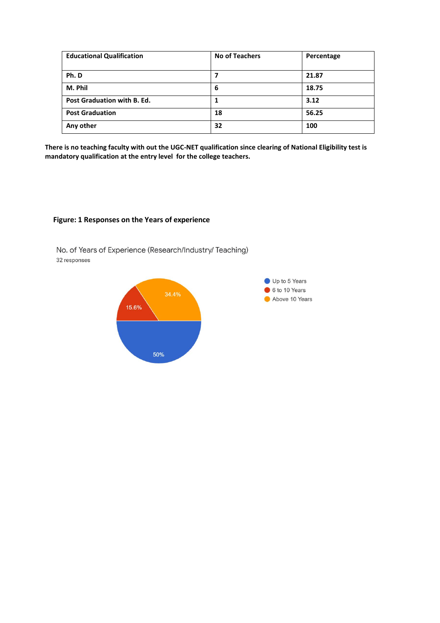| <b>Educational Qualification</b> | <b>No of Teachers</b> | Percentage |
|----------------------------------|-----------------------|------------|
| Ph.D                             |                       | 21.87      |
| M. Phil                          | 6                     | 18.75      |
| Post Graduation with B. Ed.      |                       | 3.12       |
| <b>Post Graduation</b>           | 18                    | 56.25      |
| Any other                        | 32                    | 100        |

**There is no teaching faculty with out the UGC-NET qualification since clearing of National Eligibility test is mandatory qualification at the entry level for the college teachers.**

#### **Figure: 1 Responses on the Years of experience**

No. of Years of Experience (Research/Industry/ Teaching) 32 responses

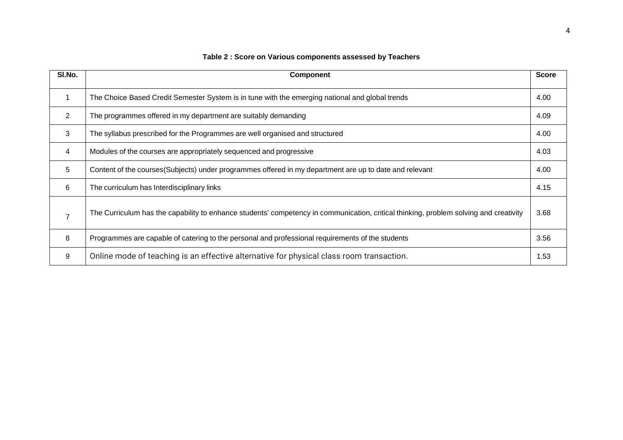| SI.No. | <b>Component</b>                                                                                                                      | <b>Score</b> |
|--------|---------------------------------------------------------------------------------------------------------------------------------------|--------------|
| 1      | The Choice Based Credit Semester System is in tune with the emerging national and global trends                                       | 4.00         |
| 2      | The programmes offered in my department are suitably demanding                                                                        | 4.09         |
| 3      | The syllabus prescribed for the Programmes are well organised and structured                                                          | 4.00         |
| 4      | Modules of the courses are appropriately sequenced and progressive                                                                    | 4.03         |
| 5      | Content of the courses (Subjects) under programmes offered in my department are up to date and relevant                               | 4.00         |
| 6      | The curriculum has Interdisciplinary links                                                                                            | 4.15         |
|        | The Curriculum has the capability to enhance students' competency in communication, critical thinking, problem solving and creativity | 3.68         |
| 8      | Programmes are capable of catering to the personal and professional requirements of the students                                      | 3.56         |
| 9      | Online mode of teaching is an effective alternative for physical class room transaction.                                              | 1.53         |

#### **Table 2 : Score on Various components assessed by Teachers**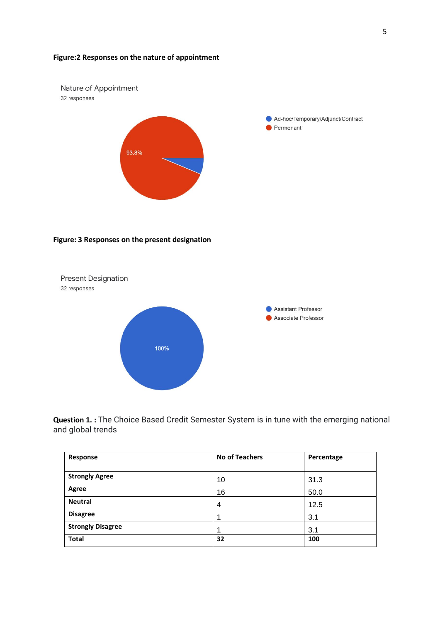#### **Figure:2 Responses on the nature of appointment**



**Question 1. :** The Choice Based Credit Semester System is in tune with the emerging national and global trends

| Response                 | <b>No of Teachers</b> | Percentage |
|--------------------------|-----------------------|------------|
|                          |                       |            |
| <b>Strongly Agree</b>    | 10                    | 31.3       |
| Agree                    | 16                    | 50.0       |
| <b>Neutral</b>           | $\overline{4}$        | 12.5       |
| <b>Disagree</b>          |                       | 3.1        |
| <b>Strongly Disagree</b> |                       | 3.1        |
| <b>Total</b>             | 32                    | 100        |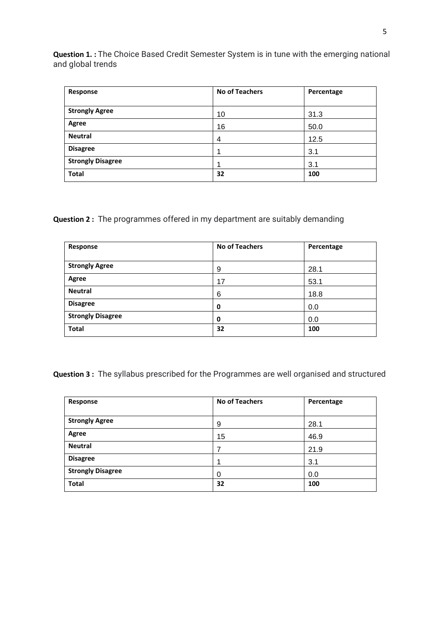**Question 1. :** The Choice Based Credit Semester System is in tune with the emerging national and global trends

| Response                 | <b>No of Teachers</b> | Percentage |
|--------------------------|-----------------------|------------|
| <b>Strongly Agree</b>    | 10                    | 31.3       |
| Agree                    | 16                    | 50.0       |
| <b>Neutral</b>           | 4                     | 12.5       |
| <b>Disagree</b>          |                       | 3.1        |
| <b>Strongly Disagree</b> |                       | 3.1        |
| <b>Total</b>             | 32                    | 100        |

**Question 2 :** The programmes offered in my department are suitably demanding

| Response                 | <b>No of Teachers</b> | Percentage |
|--------------------------|-----------------------|------------|
|                          |                       |            |
| <b>Strongly Agree</b>    | 9                     | 28.1       |
| Agree                    | 17                    | 53.1       |
| <b>Neutral</b>           | 6                     | 18.8       |
| <b>Disagree</b>          | 0                     | 0.0        |
| <b>Strongly Disagree</b> | 0                     | 0.0        |
| <b>Total</b>             | 32                    | 100        |

**Question 3 :** The syllabus prescribed for the Programmes are well organised and structured

| Response                 | <b>No of Teachers</b> | Percentage |
|--------------------------|-----------------------|------------|
|                          |                       |            |
| <b>Strongly Agree</b>    | 9                     | 28.1       |
| Agree                    | 15                    | 46.9       |
| <b>Neutral</b>           |                       | 21.9       |
| <b>Disagree</b>          |                       | 3.1        |
| <b>Strongly Disagree</b> | $\Omega$              | 0.0        |
| <b>Total</b>             | 32                    | 100        |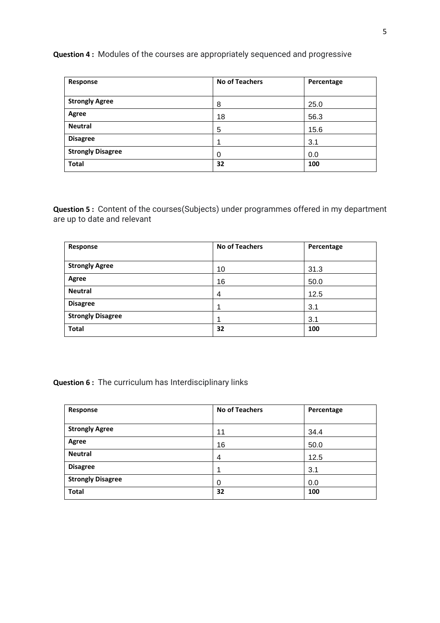#### **Question 4 :** Modules of the courses are appropriately sequenced and progressive

| Response                 | <b>No of Teachers</b> | Percentage |
|--------------------------|-----------------------|------------|
|                          |                       |            |
| <b>Strongly Agree</b>    | 8                     | 25.0       |
| Agree                    | 18                    | 56.3       |
| <b>Neutral</b>           | 5                     | 15.6       |
| <b>Disagree</b>          |                       | 3.1        |
| <b>Strongly Disagree</b> | 0                     | 0.0        |
| <b>Total</b>             | 32                    | 100        |

**Question 5 :** Content of the courses(Subjects) under programmes offered in my department are up to date and relevant

| Response                 | <b>No of Teachers</b> | Percentage |
|--------------------------|-----------------------|------------|
| <b>Strongly Agree</b>    | 10                    | 31.3       |
| Agree                    | 16                    | 50.0       |
| <b>Neutral</b>           | 4                     | 12.5       |
| <b>Disagree</b>          |                       | 3.1        |
| <b>Strongly Disagree</b> |                       | 3.1        |
| <b>Total</b>             | 32                    | 100        |

**Question 6 :** The curriculum has Interdisciplinary links

| Response                 | <b>No of Teachers</b> | Percentage |
|--------------------------|-----------------------|------------|
| <b>Strongly Agree</b>    | 11                    | 34.4       |
| Agree                    | 16                    | 50.0       |
| <b>Neutral</b>           | $\overline{4}$        | 12.5       |
| <b>Disagree</b>          |                       | 3.1        |
| <b>Strongly Disagree</b> | 0                     | 0.0        |
| <b>Total</b>             | 32                    | 100        |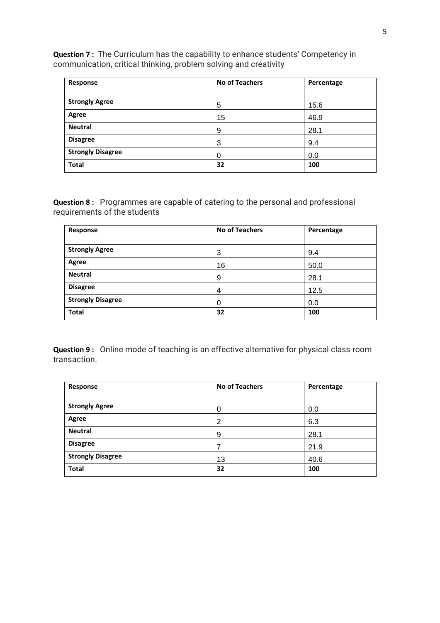**Question 7 :** The Curriculum has the capability to enhance students' Competency in communication, critical thinking, problem solving and creativity

| Response                 | <b>No of Teachers</b> | Percentage |
|--------------------------|-----------------------|------------|
|                          |                       |            |
| <b>Strongly Agree</b>    | 5                     | 15.6       |
| Agree                    | 15                    | 46.9       |
| <b>Neutral</b>           | 9                     | 28.1       |
| <b>Disagree</b>          | 3                     | 9.4        |
| <b>Strongly Disagree</b> | 0                     | 0.0        |
| <b>Total</b>             | 32                    | 100        |

**Question 8 :** Programmes are capable of catering to the personal and professional requirements of the students

| Response                 | <b>No of Teachers</b> | Percentage |
|--------------------------|-----------------------|------------|
|                          |                       |            |
| <b>Strongly Agree</b>    | 3                     | 9.4        |
| Agree                    | 16                    | 50.0       |
| <b>Neutral</b>           | 9                     | 28.1       |
| <b>Disagree</b>          | 4                     | 12.5       |
| <b>Strongly Disagree</b> | 0                     | 0.0        |
| <b>Total</b>             | 32                    | 100        |

**Question 9 :** Online mode of teaching is an effective alternative for physical class room transaction.

| Response                 | <b>No of Teachers</b> | Percentage |
|--------------------------|-----------------------|------------|
|                          |                       |            |
| <b>Strongly Agree</b>    |                       | 0.0        |
| Agree                    | 2                     | 6.3        |
| <b>Neutral</b>           | 9                     | 28.1       |
| <b>Disagree</b>          |                       | 21.9       |
| <b>Strongly Disagree</b> | 13                    | 40.6       |
| <b>Total</b>             | 32                    | 100        |